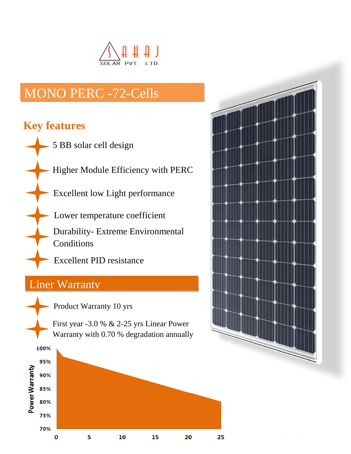

# MONO PERC -72-Cells

## **Key features**

- 5 BB solar cell design
	- Higher Module Efficiency with PERC
		- Excellent low Light performance
		- Lower temperature coefficient
			- Durability- Extreme Environmental Conditions
			- Excellent PID resistance

## Liner Warranty

- Product Warranty 10 yrs
- First year -3.0 % & 2-25 yrs Linear Power Warranty with 0.70 % degradation annually